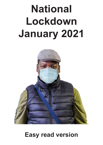## **National Lockdown January 2021**



## **Easy read version**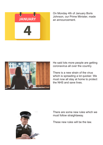

On Monday 4th of January Boris Johnson, our Prime Minister, made an announcement.



He said lots more people are getting coronavirus all over the country.

There is a new strain of the virus which is spreading a lot quicker. We must now all stay at home to protect the NHS and save lives.



There are some new rules which we must follow straightaway.

These new rules will be the law.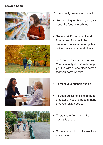## **Leaving home**









You must only leave your home to:

- Go shopping for things you really need like food or medicine
- Go to work if you cannot work from home. This could be because you are a nurse, police officer, care worker and others
- To exercise outside once a day. You must only do this with people you live with or one other person that you don't live with
- To meet your support bubble
- To get medical help like going to a doctor or hospital appointment that you really need to
- To stay safe from harm like domestic abuse
- To go to school or childcare if you are allowed to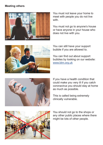## **Meeting others**



You must not leave your home to meet with people you do not live with

You must not go to anyone's house or have anyone in your house who does not live with you.



You can still have your support bubble if you are allowed to.

You can find out about support bubbles by looking on our website: www.btm.org.uk



If you have a health condition that could make you very ill if you catch coronavirus you should stay at home as much as possible.

This is called being extremely clinically vulnerable.



You should not go to the shops or any other public places where there might be lots of other people.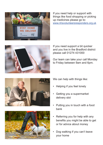

If you need help or support with things like food shopping or picking up medicines please go to: www.nhsvolunteersresponders.org.uk



If you need support a bit quicker and you live in the Bradford district please call 01274 431000

Our team can take your call Monday to Friday between 9am and 6pm.





We can help with things like:

- Helping if you feel lonely
- Getting you a supermarket delivery slot
- Putting you in touch with a food bank
- Referring you for help with any benefits you might be able to get or for advice about money
- Dog walking if you can't leave your home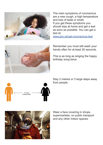

The main symptoms of coronavirus are a new cough, a high temperature and loss of taste or smell. If you get these symptoms you should stay at home and get a test as soon as possible. You can get a test at:

www.gov.uk/get-coronavirus-test



Remember you must still wash your hands often for at least 20 seconds.

This is as long as singing the happy birthday song twice.

Stay 2 metres or 3 large steps away from people.





Wear a face covering in shops, supermarkets, on public transport and any other indoor spaces.